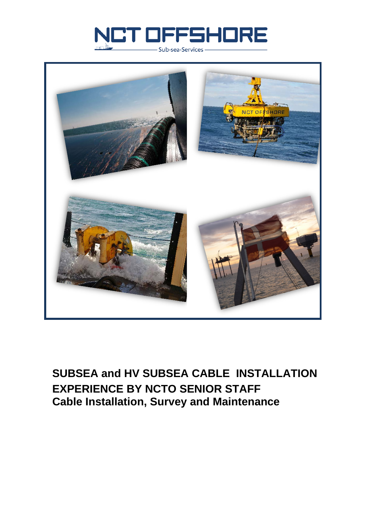



### **SUBSEA and HV SUBSEA CABLE INSTALLATION EXPERIENCE BY NCTO SENIOR STAFF Cable Installation, Survey and Maintenance**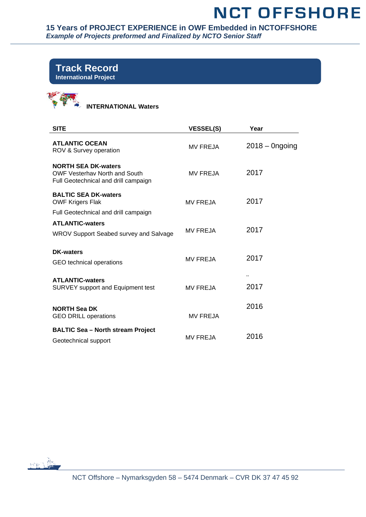**15 Years of PROJECT EXPERIENCE in OWF Embedded in NCTOFFSHORE**  *Example of Projects preformed and Finalized by NCTO Senior Staff* 

### **Track Record International Project**



 **INTERNATIONAL Waters**

| <b>SITE</b>                                                                                                | <b>VESSEL(S)</b> | Year             |
|------------------------------------------------------------------------------------------------------------|------------------|------------------|
| <b>ATLANTIC OCEAN</b><br>ROV & Survey operation                                                            | <b>MV FREJA</b>  | $2018 -$ Ongoing |
| <b>NORTH SEA DK-waters</b><br><b>OWF Vesterhav North and South</b><br>Full Geotechnical and drill campaign | <b>MV FREJA</b>  | 2017             |
| <b>BALTIC SEA DK-waters</b><br><b>OWF Krigers Flak</b>                                                     | <b>MV FREJA</b>  | 2017             |
| Full Geotechnical and drill campaign<br><b>ATLANTIC-waters</b><br>WROV Support Seabed survey and Salvage   | <b>MV FREJA</b>  | 2017             |
| <b>DK-waters</b><br>GEO technical operations                                                               | <b>MV FREJA</b>  | 2017             |
| <b>ATLANTIC-waters</b><br><b>SURVEY support and Equipment test</b>                                         | <b>MV FREJA</b>  | <br>2017         |
| <b>NORTH Sea DK</b><br><b>GEO DRILL operations</b>                                                         | <b>MV FREJA</b>  | 2016             |
| <b>BALTIC Sea - North stream Project</b><br>Geotechnical support                                           | <b>MV FREJA</b>  | 2016             |

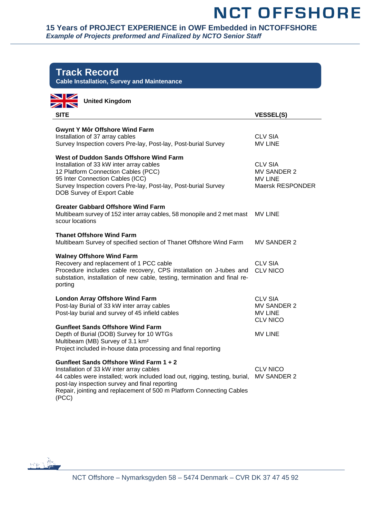#### **15 Years of PROJECT EXPERIENCE in OWF Embedded in NCTOFFSHORE**  *Example of Projects preformed and Finalized by NCTO Senior Staff*

| <b>Track Record</b><br><b>Cable Installation, Survey and Maintenance</b>                                                                                                                                                                                                                              |                                                                            |
|-------------------------------------------------------------------------------------------------------------------------------------------------------------------------------------------------------------------------------------------------------------------------------------------------------|----------------------------------------------------------------------------|
| <b>NZ</b><br><b>United Kingdom</b><br>ZN                                                                                                                                                                                                                                                              |                                                                            |
| <b>SITE</b>                                                                                                                                                                                                                                                                                           | <b>VESSEL(S)</b>                                                           |
| <b>Gwynt Y Môr Offshore Wind Farm</b><br>Installation of 37 array cables<br>Survey Inspection covers Pre-lay, Post-lay, Post-burial Survey                                                                                                                                                            | <b>CLV SIA</b><br><b>MV LINE</b>                                           |
| <b>West of Duddon Sands Offshore Wind Farm</b><br>Installation of 33 kW inter array cables<br>12 Platform Connection Cables (PCC)<br>95 Inter Connection Cables (ICC)<br>Survey Inspection covers Pre-lay, Post-lay, Post-burial Survey<br>DOB Survey of Export Cable                                 | <b>CLV SIA</b><br><b>MV SANDER 2</b><br><b>MV LINE</b><br>Maersk RESPONDER |
| <b>Greater Gabbard Offshore Wind Farm</b><br>Multibeam survey of 152 inter array cables, 58 monopile and 2 met mast<br>scour locations                                                                                                                                                                | <b>MV LINE</b>                                                             |
| <b>Thanet Offshore Wind Farm</b><br>Multibeam Survey of specified section of Thanet Offshore Wind Farm                                                                                                                                                                                                | <b>MV SANDER 2</b>                                                         |
| <b>Walney Offshore Wind Farm</b><br>Recovery and replacement of 1 PCC cable<br>Procedure includes cable recovery, CPS installation on J-tubes and<br>substation, installation of new cable, testing, termination and final re-<br>porting                                                             | <b>CLV SIA</b><br><b>CLV NICO</b>                                          |
| <b>London Array Offshore Wind Farm</b><br>Post-lay Burial of 33 kW inter array cables<br>Post-lay burial and survey of 45 infield cables                                                                                                                                                              | <b>CLV SIA</b><br><b>MV SANDER 2</b><br><b>MV LINE</b><br><b>CLV NICO</b>  |
| <b>Gunfleet Sands Offshore Wind Farm</b><br>Depth of Burial (DOB) Survey for 10 WTGs<br>Multibeam (MB) Survey of 3.1 km <sup>2</sup><br>Project included in-house data processing and final reporting                                                                                                 | <b>MV LINE</b>                                                             |
| Gunfleet Sands Offshore Wind Farm 1 + 2<br>Installation of 33 kW inter array cables<br>44 cables were installed; work included load out, rigging, testing, burial,<br>post-lay inspection survey and final reporting<br>Repair, jointing and replacement of 500 m Platform Connecting Cables<br>(PCC) | <b>CLV NICO</b><br><b>MV SANDER 2</b>                                      |

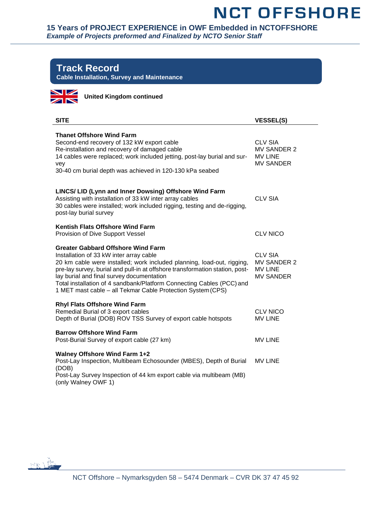#### **15 Years of PROJECT EXPERIENCE in OWF Embedded in NCTOFFSHORE**  *Example of Projects preformed and Finalized by NCTO Senior Staff*

### **Track Record**

**Cable Installation, Survey and Maintenance**



**United Kingdom continued**

| <b>SITE</b>                                                                                                                                                                                                                                                                                                                                                                                                                         | <b>VESSEL(S)</b>                                                           |
|-------------------------------------------------------------------------------------------------------------------------------------------------------------------------------------------------------------------------------------------------------------------------------------------------------------------------------------------------------------------------------------------------------------------------------------|----------------------------------------------------------------------------|
| <b>Thanet Offshore Wind Farm</b><br>Second-end recovery of 132 kW export cable<br>Re-installation and recovery of damaged cable<br>14 cables were replaced; work included jetting, post-lay burial and sur-<br>vey<br>30-40 cm burial depth was achieved in 120-130 kPa seabed                                                                                                                                                      | <b>CLV SIA</b><br><b>MV SANDER 2</b><br><b>MV LINE</b><br><b>MV SANDER</b> |
| LINCS/ LID (Lynn and Inner Dowsing) Offshore Wind Farm<br>Assisting with installation of 33 kW inter array cables<br>30 cables were installed; work included rigging, testing and de-rigging,<br>post-lay burial survey                                                                                                                                                                                                             | <b>CLV SIA</b>                                                             |
| Kentish Flats Offshore Wind Farm<br>Provision of Dive Support Vessel                                                                                                                                                                                                                                                                                                                                                                | <b>CLV NICO</b>                                                            |
| <b>Greater Gabbard Offshore Wind Farm</b><br>Installation of 33 kW inter array cable<br>20 km cable were installed; work included planning, load-out, rigging,<br>pre-lay survey, burial and pull-in at offshore transformation station, post-<br>lay burial and final survey documentation<br>Total installation of 4 sandbank/Platform Connecting Cables (PCC) and<br>1 MET mast cable - all Tekmar Cable Protection System (CPS) | <b>CLV SIA</b><br>MV SANDER 2<br><b>MV LINE</b><br><b>MV SANDER</b>        |
| <b>Rhyl Flats Offshore Wind Farm</b><br>Remedial Burial of 3 export cables<br>Depth of Burial (DOB) ROV TSS Survey of export cable hotspots                                                                                                                                                                                                                                                                                         | <b>CLV NICO</b><br><b>MV LINE</b>                                          |
| <b>Barrow Offshore Wind Farm</b><br>Post-Burial Survey of export cable (27 km)                                                                                                                                                                                                                                                                                                                                                      | <b>MV LINE</b>                                                             |
| <b>Walney Offshore Wind Farm 1+2</b><br>Post-Lay Inspection, Multibeam Echosounder (MBES), Depth of Burial<br>(DOB)<br>Post-Lay Survey Inspection of 44 km export cable via multibeam (MB)<br>(only Walney OWF 1)                                                                                                                                                                                                                   | <b>MV LINE</b>                                                             |

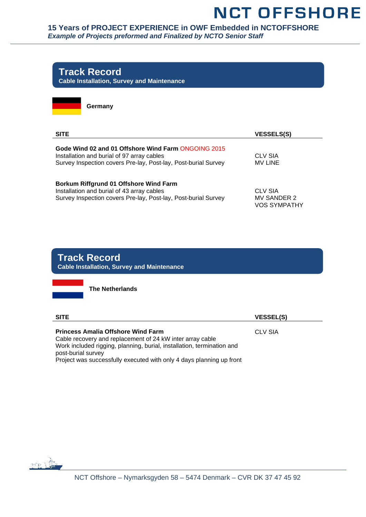

### **The Netherlands SITE VESSEL(S) Princess Amalia Offshore Wind Farm** Cable recovery and replacement of 24 kW inter array cable CLV SIA **Track Record Cable Installation, Survey and Maintenance**

Work included rigging, planning, burial, installation, termination and post-burial survey Project was successfully executed with only 4 days planning up front